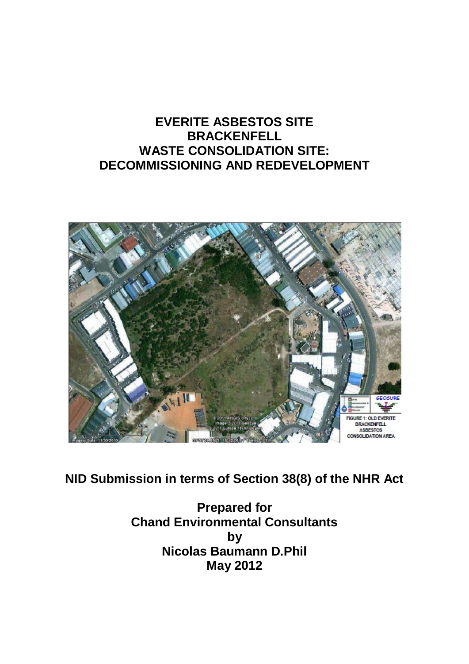# **EVERITE ASBESTOS SITE BRACKENFELL WASTE CONSOLIDATION SITE: DECOMMISSIONING AND REDEVELOPMENT**



**NID Submission in terms of Section 38(8) of the NHR Act**

**Prepared for Chand Environmental Consultants by Nicolas Baumann D.Phil May 2012**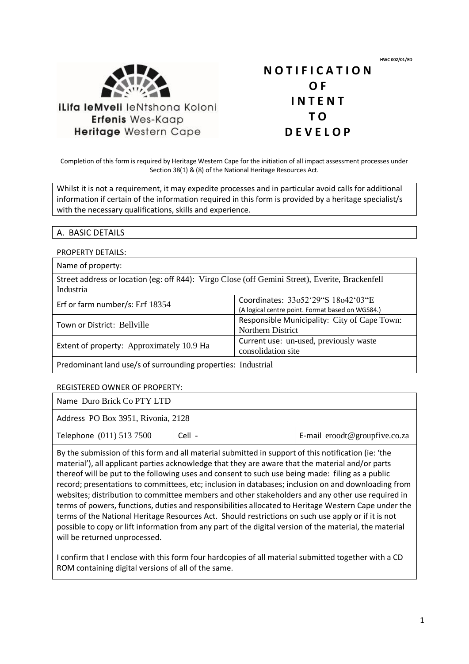**HWC 002/01/ED**



Heritage Western Cape

**N O T I F I C A T I O N O F I N T E N T T O D E V E L O P**

Completion of this form is required by Heritage Western Cape for the initiation of all impact assessment processes under Section 38(1) & (8) of the National Heritage Resources Act.

Whilst it is not a requirement, it may expedite processes and in particular avoid calls for additional information if certain of the information required in this form is provided by a heritage specialist/s with the necessary qualifications, skills and experience.

### A. BASIC DETAILS

#### PROPERTY DETAILS:

| Name of property:                                                                                            |                                                                                        |  |
|--------------------------------------------------------------------------------------------------------------|----------------------------------------------------------------------------------------|--|
| Street address or location (eg: off R44): Virgo Close (off Gemini Street), Everite, Brackenfell<br>Industria |                                                                                        |  |
| Erf or farm number/s: Erf 18354                                                                              | Coordinates: 33o52'29"S 18o42'03"E<br>(A logical centre point. Format based on WGS84.) |  |
| Town or District: Bellyille                                                                                  | Responsible Municipality: City of Cape Town:<br>Northern District                      |  |
| Extent of property: Approximately 10.9 Ha                                                                    | Current use: un-used, previously waste<br>consolidation site                           |  |
| Predominant land use/s of surrounding properties: Industrial                                                 |                                                                                        |  |

#### REGISTERED OWNER OF PROPERTY:

| Name Duro Brick Co PTY LTD         |          |                               |  |
|------------------------------------|----------|-------------------------------|--|
| Address PO Box 3951, Rivonia, 2128 |          |                               |  |
| Telephone (011) 513 7500           | $Cell -$ | E-mail eroodt@groupfive.co.za |  |

By the submission of this form and all material submitted in support of this notification (ie: 'the material'), all applicant parties acknowledge that they are aware that the material and/or parts thereof will be put to the following uses and consent to such use being made: filing as a public record; presentations to committees, etc; inclusion in databases; inclusion on and downloading from websites; distribution to committee members and other stakeholders and any other use required in terms of powers, functions, duties and responsibilities allocated to Heritage Western Cape under the terms of the National Heritage Resources Act. Should restrictions on such use apply or if it is not possible to copy or lift information from any part of the digital version of the material, the material will be returned unprocessed.

I confirm that I enclose with this form four hardcopies of all material submitted together with a CD ROM containing digital versions of all of the same.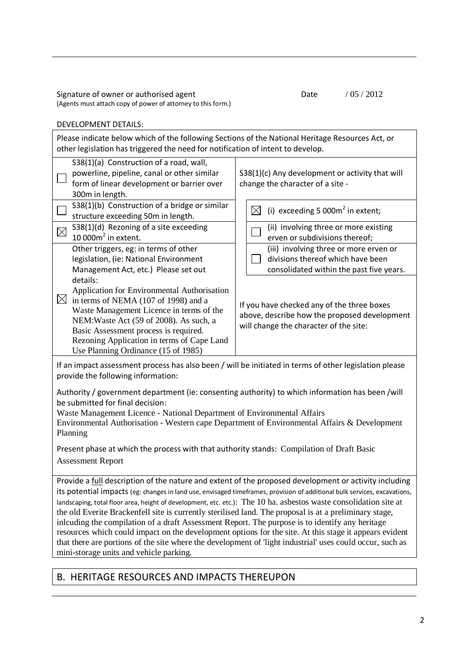Signature of owner or authorised agent (Agents must attach copy of power of attorney to this form.)

### Date / 05 / 2012

#### DEVELOPMENT DETAILS:

Please indicate below which of the following Sections of the National Heritage Resources Act, or other legislation has triggered the need for notification of intent to develop. S38(1)(a) Construction of a road, wall, powerline, pipeline, canal or other similar form of linear development or barrier over 300m in length. S38(1)(c) Any development or activity that will change the character of a site - S38(1)(b) Construction of a bridge or similar structure exceeding 50m in length.  $\boxtimes$  (i) exceeding 5 000m<sup>2</sup> in extent; S38(1)(d) Rezoning of a site exceeding  $10000m^2$  in extent. (ii) involving three or more existing erven or subdivisions thereof; Other triggers, eg: in terms of other legislation, (ie: National Environment Management Act, etc.) Please set out details: Application for Environmental Authorisation  $\boxtimes$  in terms of NEMA (107 of 1998) and a Waste Management Licence in terms of the NEM:Waste Act (59 of 2008). As such, a Basic Assessment process is required. Rezoning Application in terms of Cape Land Use Planning Ordinance (15 of 1985) (iii) involving three or more erven or divisions thereof which have been consolidated within the past five years. If you have checked any of the three boxes above, describe how the proposed development will change the character of the site: If an impact assessment process has also been / will be initiated in terms of other legislation please provide the following information: Authority / government department (ie: consenting authority) to which information has been /will be submitted for final decision: Waste Management Licence - National Department of Environmental Affairs Environmental Authorisation - Western cape Department of Environmental Affairs & Development Planning

Present phase at which the process with that authority stands: Compilation of Draft Basic Assessment Report

Provide a full description of the nature and extent of the proposed development or activity including its potential impacts (eg: changes in land use, envisaged timeframes, provision of additional bulk services, excavations, landscaping, total floor area, height of development, etc. etc.): The 10 ha. asbestos waste consolidation site at the old Everite Brackenfell site is currently sterilised land. The proposal is at a preliminary stage, inlcuding the compilation of a draft Assessment Report. The purpose is to identify any heritage resources which could impact on the development options for the site. At this stage it appears evident that there are portions of the site where the development of 'light industrial' uses could occur, such as mini-storage units and vehicle parking.

## B. HERITAGE RESOURCES AND IMPACTS THEREUPON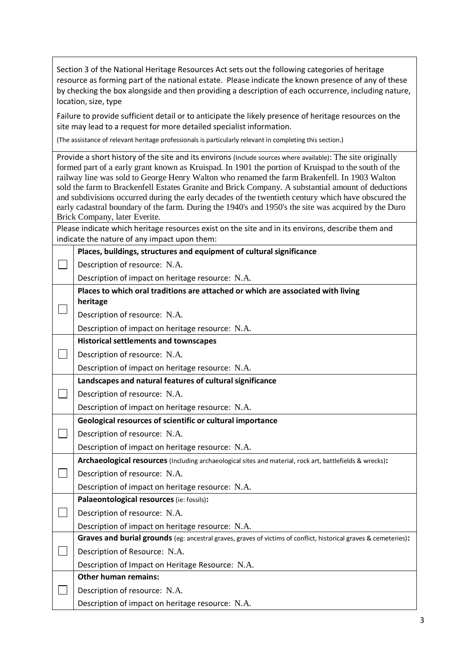| Section 3 of the National Heritage Resources Act sets out the following categories of heritage<br>resource as forming part of the national estate. Please indicate the known presence of any of these<br>by checking the box alongside and then providing a description of each occurrence, including nature, |                                                                                                                                                                                                                                                                                                                                                                                                                                                                                                                                                           |  |  |  |
|---------------------------------------------------------------------------------------------------------------------------------------------------------------------------------------------------------------------------------------------------------------------------------------------------------------|-----------------------------------------------------------------------------------------------------------------------------------------------------------------------------------------------------------------------------------------------------------------------------------------------------------------------------------------------------------------------------------------------------------------------------------------------------------------------------------------------------------------------------------------------------------|--|--|--|
|                                                                                                                                                                                                                                                                                                               | location, size, type                                                                                                                                                                                                                                                                                                                                                                                                                                                                                                                                      |  |  |  |
|                                                                                                                                                                                                                                                                                                               | Failure to provide sufficient detail or to anticipate the likely presence of heritage resources on the<br>site may lead to a request for more detailed specialist information.                                                                                                                                                                                                                                                                                                                                                                            |  |  |  |
|                                                                                                                                                                                                                                                                                                               | (The assistance of relevant heritage professionals is particularly relevant in completing this section.)                                                                                                                                                                                                                                                                                                                                                                                                                                                  |  |  |  |
|                                                                                                                                                                                                                                                                                                               | Provide a short history of the site and its environs (Include sources where available): The site originally                                                                                                                                                                                                                                                                                                                                                                                                                                               |  |  |  |
|                                                                                                                                                                                                                                                                                                               | formed part of a early grant known as Kruispad. In 1901 the portion of Kruispad to the south of the<br>railway line was sold to George Henry Walton who renamed the farm Brakenfell. In 1903 Walton<br>sold the farm to Brackenfell Estates Granite and Brick Company. A substantial amount of deductions<br>and subdivisions occurred during the early decades of the twentieth century which have obscured the<br>early cadastral boundary of the farm. During the 1940's and 1950's the site was acquired by the Duro<br>Brick Company, later Everite. |  |  |  |
|                                                                                                                                                                                                                                                                                                               | Please indicate which heritage resources exist on the site and in its environs, describe them and                                                                                                                                                                                                                                                                                                                                                                                                                                                         |  |  |  |
|                                                                                                                                                                                                                                                                                                               | indicate the nature of any impact upon them:                                                                                                                                                                                                                                                                                                                                                                                                                                                                                                              |  |  |  |
|                                                                                                                                                                                                                                                                                                               | Places, buildings, structures and equipment of cultural significance                                                                                                                                                                                                                                                                                                                                                                                                                                                                                      |  |  |  |
|                                                                                                                                                                                                                                                                                                               | Description of resource: N.A.                                                                                                                                                                                                                                                                                                                                                                                                                                                                                                                             |  |  |  |
|                                                                                                                                                                                                                                                                                                               | Description of impact on heritage resource: N.A.                                                                                                                                                                                                                                                                                                                                                                                                                                                                                                          |  |  |  |
|                                                                                                                                                                                                                                                                                                               | Places to which oral traditions are attached or which are associated with living                                                                                                                                                                                                                                                                                                                                                                                                                                                                          |  |  |  |
|                                                                                                                                                                                                                                                                                                               | heritage                                                                                                                                                                                                                                                                                                                                                                                                                                                                                                                                                  |  |  |  |
|                                                                                                                                                                                                                                                                                                               | Description of resource: N.A.                                                                                                                                                                                                                                                                                                                                                                                                                                                                                                                             |  |  |  |
|                                                                                                                                                                                                                                                                                                               | Description of impact on heritage resource: N.A.                                                                                                                                                                                                                                                                                                                                                                                                                                                                                                          |  |  |  |
|                                                                                                                                                                                                                                                                                                               | <b>Historical settlements and townscapes</b>                                                                                                                                                                                                                                                                                                                                                                                                                                                                                                              |  |  |  |
|                                                                                                                                                                                                                                                                                                               | Description of resource: N.A.                                                                                                                                                                                                                                                                                                                                                                                                                                                                                                                             |  |  |  |
|                                                                                                                                                                                                                                                                                                               | Description of impact on heritage resource: N.A.<br>Landscapes and natural features of cultural significance                                                                                                                                                                                                                                                                                                                                                                                                                                              |  |  |  |
|                                                                                                                                                                                                                                                                                                               |                                                                                                                                                                                                                                                                                                                                                                                                                                                                                                                                                           |  |  |  |
|                                                                                                                                                                                                                                                                                                               |                                                                                                                                                                                                                                                                                                                                                                                                                                                                                                                                                           |  |  |  |
|                                                                                                                                                                                                                                                                                                               | Description of resource: N.A.                                                                                                                                                                                                                                                                                                                                                                                                                                                                                                                             |  |  |  |
|                                                                                                                                                                                                                                                                                                               | Description of impact on heritage resource: N.A.                                                                                                                                                                                                                                                                                                                                                                                                                                                                                                          |  |  |  |
|                                                                                                                                                                                                                                                                                                               | Geological resources of scientific or cultural importance                                                                                                                                                                                                                                                                                                                                                                                                                                                                                                 |  |  |  |
|                                                                                                                                                                                                                                                                                                               | Description of resource: N.A.                                                                                                                                                                                                                                                                                                                                                                                                                                                                                                                             |  |  |  |
|                                                                                                                                                                                                                                                                                                               | Description of impact on heritage resource: N.A.                                                                                                                                                                                                                                                                                                                                                                                                                                                                                                          |  |  |  |
|                                                                                                                                                                                                                                                                                                               | Archaeological resources (Including archaeological sites and material, rock art, battlefields & wrecks):                                                                                                                                                                                                                                                                                                                                                                                                                                                  |  |  |  |
|                                                                                                                                                                                                                                                                                                               | Description of resource: N.A.                                                                                                                                                                                                                                                                                                                                                                                                                                                                                                                             |  |  |  |
|                                                                                                                                                                                                                                                                                                               | Description of impact on heritage resource: N.A.                                                                                                                                                                                                                                                                                                                                                                                                                                                                                                          |  |  |  |
|                                                                                                                                                                                                                                                                                                               | Palaeontological resources (ie: fossils):                                                                                                                                                                                                                                                                                                                                                                                                                                                                                                                 |  |  |  |
|                                                                                                                                                                                                                                                                                                               | Description of resource: N.A.                                                                                                                                                                                                                                                                                                                                                                                                                                                                                                                             |  |  |  |
|                                                                                                                                                                                                                                                                                                               | Description of impact on heritage resource: N.A.                                                                                                                                                                                                                                                                                                                                                                                                                                                                                                          |  |  |  |
|                                                                                                                                                                                                                                                                                                               | Graves and burial grounds (eg: ancestral graves, graves of victims of conflict, historical graves & cemeteries):                                                                                                                                                                                                                                                                                                                                                                                                                                          |  |  |  |
|                                                                                                                                                                                                                                                                                                               | Description of Resource: N.A.                                                                                                                                                                                                                                                                                                                                                                                                                                                                                                                             |  |  |  |
|                                                                                                                                                                                                                                                                                                               | Description of Impact on Heritage Resource: N.A.                                                                                                                                                                                                                                                                                                                                                                                                                                                                                                          |  |  |  |
|                                                                                                                                                                                                                                                                                                               | <b>Other human remains:</b><br>Description of resource: N.A.                                                                                                                                                                                                                                                                                                                                                                                                                                                                                              |  |  |  |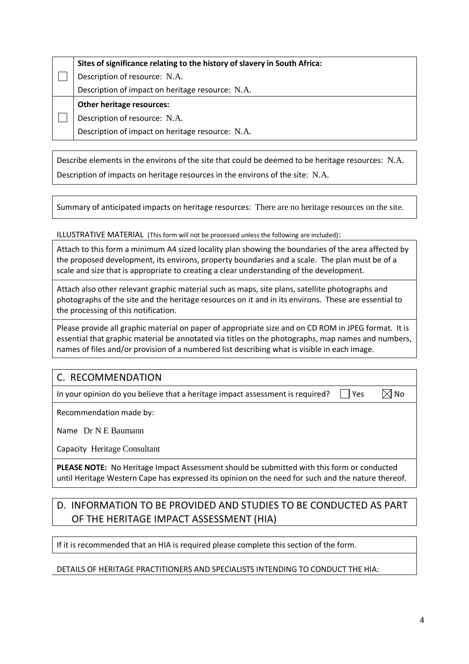| Sites of significance relating to the history of slavery in South Africa: |  |  |
|---------------------------------------------------------------------------|--|--|
| Description of resource: N.A.                                             |  |  |
| Description of impact on heritage resource: N.A.                          |  |  |
|                                                                           |  |  |
| <b>Other heritage resources:</b>                                          |  |  |
| Description of resource: N.A.                                             |  |  |

Describe elements in the environs of the site that could be deemed to be heritage resources: N.A. Description of impacts on heritage resources in the environs of the site: N.A.

Summary of anticipated impacts on heritage resources: There are no heritage resources on the site.

ILLUSTRATIVE MATERIAL (This form will not be processed unless the following are included):

Attach to this form a minimum A4 sized locality plan showing the boundaries of the area affected by the proposed development, its environs, property boundaries and a scale. The plan must be of a scale and size that is appropriate to creating a clear understanding of the development.

Attach also other relevant graphic material such as maps, site plans, satellite photographs and photographs of the site and the heritage resources on it and in its environs. These are essential to the processing of this notification.

Please provide all graphic material on paper of appropriate size and on CD ROM in JPEG format. It is essential that graphic material be annotated via titles on the photographs, map names and numbers, names of files and/or provision of a numbered list describing what is visible in each image.

# C. RECOMMENDATION

In your opinion do you believe that a heritage impact assessment is required?  $\Box$  Yes  $\Box$  No

Recommendation made by:

Name Dr N E Baumann

Capacity Heritage Consultant

**PLEASE NOTE:** No Heritage Impact Assessment should be submitted with this form or conducted until Heritage Western Cape has expressed its opinion on the need for such and the nature thereof.

# D. INFORMATION TO BE PROVIDED AND STUDIES TO BE CONDUCTED AS PART OF THE HERITAGE IMPACT ASSESSMENT (HIA)

If it is recommended that an HIA is required please complete this section of the form.

### DETAILS OF HERITAGE PRACTITIONERS AND SPECIALISTS INTENDING TO CONDUCT THE HIA: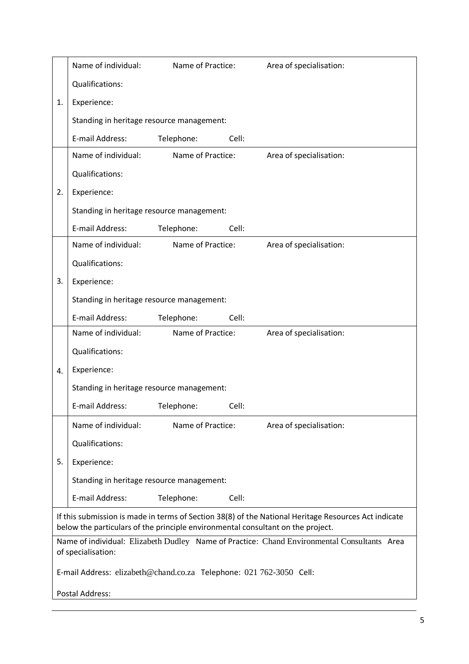|    | Name of individual:                                                             | Name of Practice: |       | Area of specialisation:                                                                              |
|----|---------------------------------------------------------------------------------|-------------------|-------|------------------------------------------------------------------------------------------------------|
|    | Qualifications:                                                                 |                   |       |                                                                                                      |
| 1. | Experience:                                                                     |                   |       |                                                                                                      |
|    | Standing in heritage resource management:                                       |                   |       |                                                                                                      |
|    | E-mail Address:                                                                 | Telephone:        | Cell: |                                                                                                      |
|    | Name of individual:                                                             | Name of Practice: |       | Area of specialisation:                                                                              |
|    | Qualifications:                                                                 |                   |       |                                                                                                      |
| 2. | Experience:                                                                     |                   |       |                                                                                                      |
|    | Standing in heritage resource management:                                       |                   |       |                                                                                                      |
|    | E-mail Address:                                                                 | Telephone:        | Cell: |                                                                                                      |
|    | Name of individual:                                                             | Name of Practice: |       | Area of specialisation:                                                                              |
|    | Qualifications:                                                                 |                   |       |                                                                                                      |
| 3. | Experience:                                                                     |                   |       |                                                                                                      |
|    | Standing in heritage resource management:                                       |                   |       |                                                                                                      |
|    | E-mail Address:                                                                 | Telephone:        | Cell: |                                                                                                      |
|    | Name of individual:                                                             | Name of Practice: |       | Area of specialisation:                                                                              |
|    | Qualifications:                                                                 |                   |       |                                                                                                      |
| 4. | Experience:                                                                     |                   |       |                                                                                                      |
|    | Standing in heritage resource management:                                       |                   |       |                                                                                                      |
|    | E-mail Address:                                                                 | Telephone:        | Cell: |                                                                                                      |
|    | Name of individual:                                                             | Name of Practice: |       | Area of specialisation:                                                                              |
|    | Qualifications:                                                                 |                   |       |                                                                                                      |
| 5. | Experience:                                                                     |                   |       |                                                                                                      |
|    | Standing in heritage resource management:                                       |                   |       |                                                                                                      |
|    | E-mail Address:                                                                 | Telephone:        | Cell: |                                                                                                      |
|    | below the particulars of the principle environmental consultant on the project. |                   |       | If this submission is made in terms of Section 38(8) of the National Heritage Resources Act indicate |
|    |                                                                                 |                   |       | Name of individual: Elizabeth Dudley Name of Practice: Chand Environmental Consultants Area          |
|    | of specialisation:                                                              |                   |       |                                                                                                      |
|    | E-mail Address: elizabeth@chand.co.za Telephone: 021 762-3050 Cell:             |                   |       |                                                                                                      |
|    | Postal Address:                                                                 |                   |       |                                                                                                      |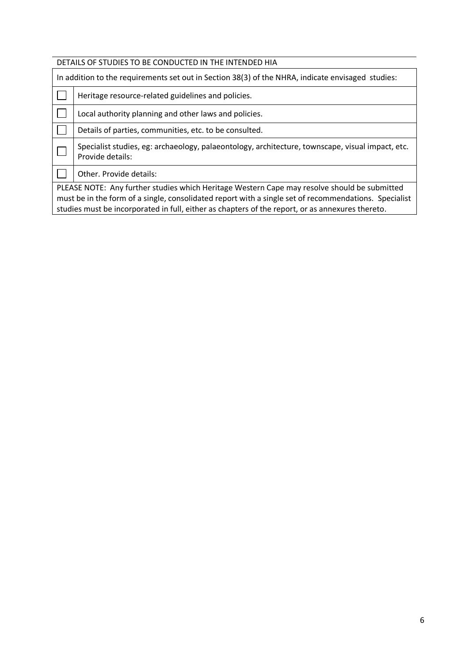| DETAILS OF STUDIES TO BE CONDUCTED IN THE INTENDED HIA                                                |                                                                                                                      |  |
|-------------------------------------------------------------------------------------------------------|----------------------------------------------------------------------------------------------------------------------|--|
|                                                                                                       | In addition to the requirements set out in Section 38(3) of the NHRA, indicate envisaged studies:                    |  |
|                                                                                                       | Heritage resource-related guidelines and policies.                                                                   |  |
|                                                                                                       | Local authority planning and other laws and policies.                                                                |  |
|                                                                                                       | Details of parties, communities, etc. to be consulted.                                                               |  |
|                                                                                                       | Specialist studies, eg: archaeology, palaeontology, architecture, townscape, visual impact, etc.<br>Provide details: |  |
|                                                                                                       | Other. Provide details:                                                                                              |  |
| PLEASE NOTE: Any further studies which Heritage Western Cape may resolve should be submitted          |                                                                                                                      |  |
| must be in the form of a single, consolidated report with a single set of recommendations. Specialist |                                                                                                                      |  |
|                                                                                                       | studies must be incorporated in full, either as chapters of the report, or as annexures thereto.                     |  |